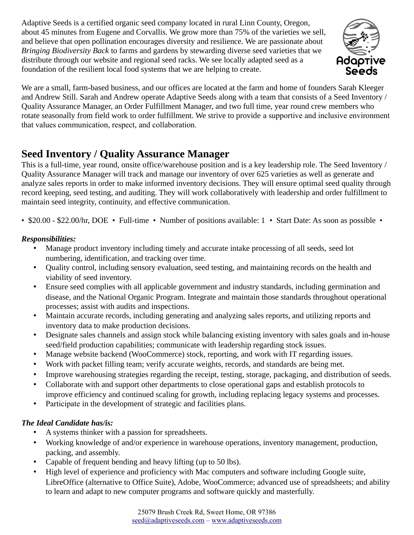Adaptive Seeds is a certified organic seed company located in rural Linn County, Oregon, about 45 minutes from Eugene and Corvallis. We grow more than 75% of the varieties we sell, and believe that open pollination encourages diversity and resilience. We are passionate about *Bringing Biodiversity Back* to farms and gardens by stewarding diverse seed varieties that we distribute through our website and regional seed racks. We see locally adapted seed as a foundation of the resilient local food systems that we are helping to create.



We are a small, farm-based business, and our offices are located at the farm and home of founders Sarah Kleeger and Andrew Still. Sarah and Andrew operate Adaptive Seeds along with a team that consists of a Seed Inventory / Quality Assurance Manager, an Order Fulfillment Manager, and two full time, year round crew members who rotate seasonally from field work to order fulfillment. We strive to provide a supportive and inclusive environment that values communication, respect, and collaboration.

# **Seed Inventory / Quality Assurance Manager**

This is a full-time, year round, onsite office/warehouse position and is a key leadership role. The Seed Inventory / Quality Assurance Manager will track and manage our inventory of over 625 varieties as well as generate and analyze sales reports in order to make informed inventory decisions. They will ensure optimal seed quality through record keeping, seed testing, and auditing. They will work collaboratively with leadership and order fulfillment to maintain seed integrity, continuity, and effective communication.

• \$20.00 - \$22.00/hr, DOE • Full-time • Number of positions available: 1 • Start Date: As soon as possible •

### *Responsibilities:*

- Manage product inventory including timely and accurate intake processing of all seeds, seed lot numbering, identification, and tracking over time.
- Quality control, including sensory evaluation, seed testing, and maintaining records on the health and viability of seed inventory.
- Ensure seed complies with all applicable government and industry standards, including germination and disease, and the National Organic Program. Integrate and maintain those standards throughout operational processes; assist with audits and inspections.
- Maintain accurate records, including generating and analyzing sales reports, and utilizing reports and inventory data to make production decisions.
- Designate sales channels and assign stock while balancing existing inventory with sales goals and in-house seed/field production capabilities; communicate with leadership regarding stock issues.
- Manage website backend (WooCommerce) stock, reporting, and work with IT regarding issues.
- Work with packet filling team; verify accurate weights, records, and standards are being met.
- Improve warehousing strategies regarding the receipt, testing, storage, packaging, and distribution of seeds.
- Collaborate with and support other departments to close operational gaps and establish protocols to improve efficiency and continued scaling for growth, including replacing legacy systems and processes.
- Participate in the development of strategic and facilities plans.

## *The Ideal Candidate has/is:*

- A systems thinker with a passion for spreadsheets.
- Working knowledge of and/or experience in warehouse operations, inventory management, production, packing, and assembly.
- Capable of frequent bending and heavy lifting (up to 50 lbs).
- High level of experience and proficiency with Mac computers and software including Google suite, LibreOffice (alternative to Office Suite), Adobe, WooCommerce; advanced use of spreadsheets; and ability to learn and adapt to new computer programs and software quickly and masterfully.